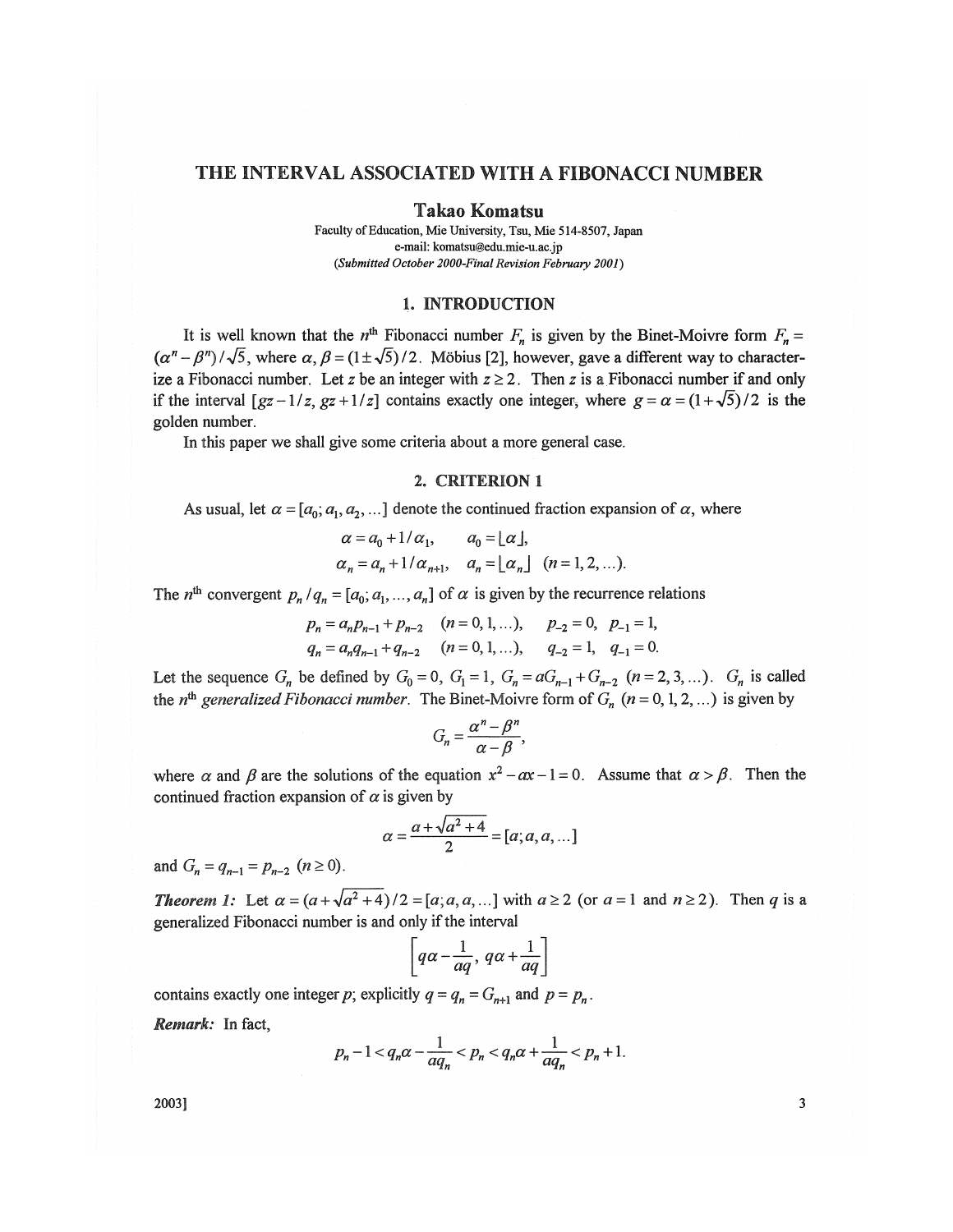# THE INTERVAL ASSOCIATED WITH A FIBONACCI NUMBER

#### Takao Komatsu

Faculty of Education, Mie University, Tsu, Mie 514-8507, Japan e-mail: komatsu@edu.mie-u.ac.jp *(Submitted October 2000-Final Revision February 2001)* 

#### 1. INTRODUCTION

It is well known that the  $n^{\text{th}}$  Fibonacci number  $F_n$  is given by the Binet-Moivre form  $F_n =$  $(a<sup>n</sup> - \beta<sup>n</sup>) / \sqrt{5}$ , where  $\alpha, \beta = (1 \pm \sqrt{5}) / 2$ . Möbius [2], however, gave a different way to characterize a Fibonacci number. Let *z* be an integer with  $z \ge 2$ . Then *z* is a Fibonacci number if and only if the interval  $[gz-1/z, gz+1/z]$  contains exactly one integer, where  $g = \alpha = (1+\sqrt{5})/2$  is the golden number.

In this paper we shall give some criteria about a more general case.

# 2. CRITERION 1

As usual, let  $\alpha$  =  $[a_0; a_1, a_2, \ldots]$  denote the continued fraction expansion of  $\alpha$ , where

$$
\alpha = a_0 + 1/\alpha_1, \qquad a_0 = \lfloor \alpha \rfloor, \n\alpha_n = a_n + 1/\alpha_{n+1}, \quad a_n = \lfloor \alpha_n \rfloor \quad (n = 1, 2, \ldots).
$$

The *n*<sup>th</sup> convergent  $p_n/q_n = [a_0; a_1, ..., a_n]$  of  $\alpha$  is given by the recurrence relations

$$
p_n = a_n p_{n-1} + p_{n-2} \quad (n = 0, 1, ...), \quad p_{-2} = 0, \quad p_{-1} = 1,
$$
  
\n
$$
q_n = a_n q_{n-1} + q_{n-2} \quad (n = 0, 1, ...), \quad q_{-2} = 1, \quad q_{-1} = 0.
$$

Let the sequence  $G_n$  be defined by  $G_0 = 0$ ,  $G_1 = 1$ ,  $G_n = aG_{n-1} + G_{n-2}$   $(n = 2, 3, ...)$ .  $G_n$  is called the *n*<sup>th</sup> generalized Fibonacci number. The Binet-Moivre form of  $G_n$  ( $n = 0, 1, 2, ...$ ) is given by

$$
G_n=\frac{\alpha^n-\beta^n}{\alpha-\beta},
$$

where  $\alpha$  and  $\beta$  are the solutions of the equation  $x^2 - ax - 1 = 0$ . Assume that  $\alpha > \beta$ . Then the continued fraction expansion of  $\alpha$  is given by

$$
\alpha = \frac{a + \sqrt{a^2 + 4}}{2} = [a; a, a, ...]
$$

and  $G_n = q_{n-1} = p_{n-2}$   $(n \ge 0)$ .

*Theorem 1:* Let  $\alpha = (a + \sqrt{a^2 + 4})/2 = [a, a, a, \dots]$  with  $a \ge 2$  (or  $a = 1$  and  $n \ge 2$ ). Then q is a generalized Fibonacci number is and only if the interval

$$
\left[q\alpha-\frac{1}{aq},\,q\alpha+\frac{1}{aq}\right]
$$

 $\nabla q = q_x = G_{n+1}$  and *p*  $\frac{1}{2}$   $\frac{1}{2}$   $\frac{1}{2}$   $\frac{1}{2}$   $\frac{1}{2}$   $\frac{1}{2}$   $\frac{1}{2}$   $\frac{1}{2}$   $\frac{1}{2}$   $\frac{1}{2}$   $\frac{1}{2}$ 

*Remark:* In fact,

$$
p_n - 1 < q_n \alpha - \frac{1}{aq_n} < p_n < q_n \alpha + \frac{1}{aq_n} < p_n + 1.
$$

 $2003$ ] 3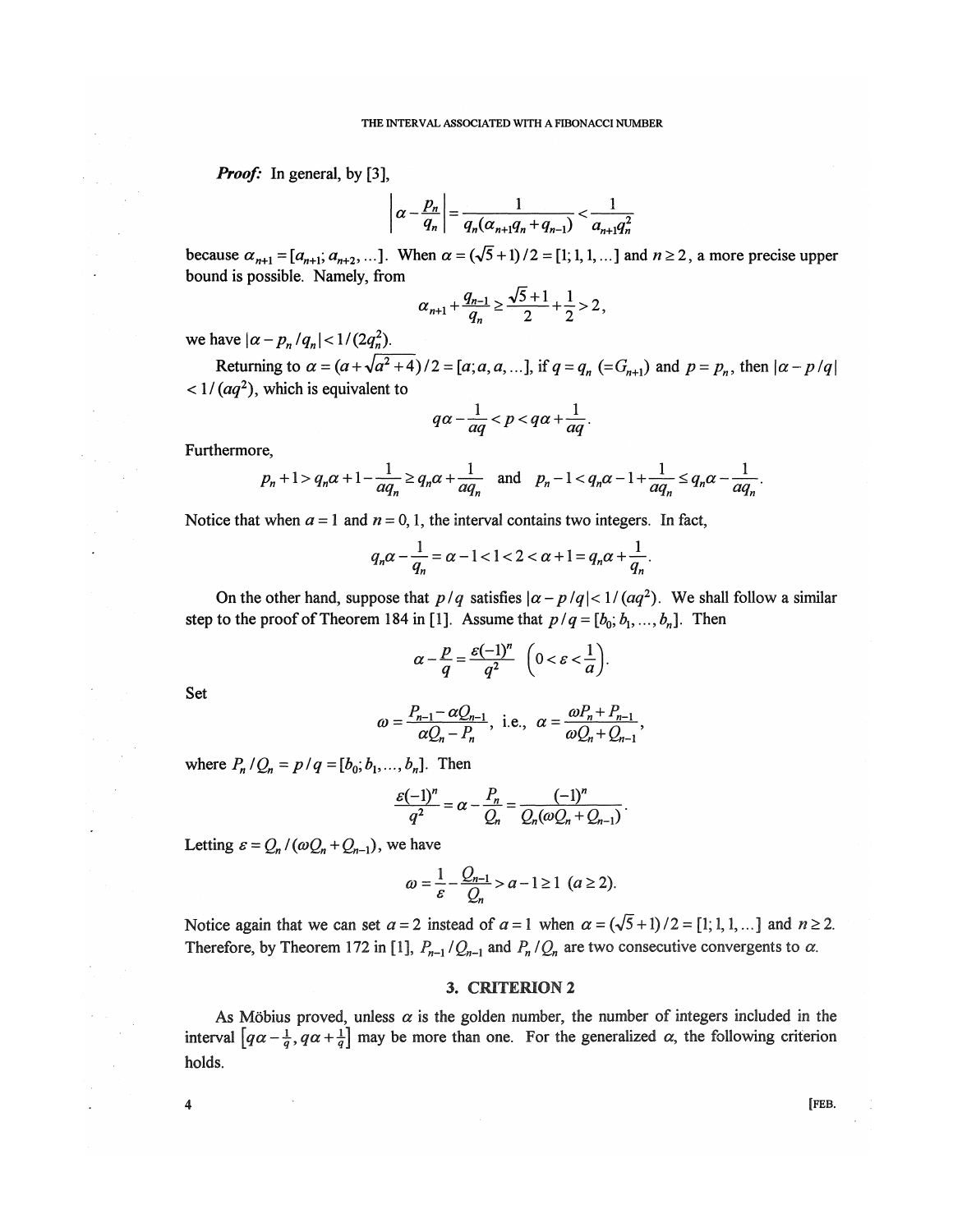*Proof:* In general, by [3],

$$
\left|\alpha - \frac{p_n}{q_n}\right| = \frac{1}{q_n(\alpha_{n+1}q_n + q_{n-1})} < \frac{1}{a_{n+1}q_n^2}
$$

because  $\alpha_{n+1} = [a_{n+1}, a_{n+2}, \dots]$ . When  $\alpha = (\sqrt{5} + 1)/2 = [1, 1, 1, \dots]$  and  $n \ge 2$ , a more precise upper bound is possible. Namely, from

$$
\alpha_{n+1} + \frac{q_{n-1}}{q_n} \ge \frac{\sqrt{5} + 1}{2} + \frac{1}{2} > 2
$$

we have  $|\alpha - p_n/q_n| < 1$ /

Returning to  $\alpha = (a + \sqrt{a^2 + 4})/2 = [a; a, a, ...]$ , if  $q = q_n (= G_{n+1})$  and  $p = p_n$ , then  $|\alpha - p/q|$  $<$  1/( $aq<sup>2</sup>$ ), which is equivalent to

$$
q\alpha - \frac{1}{aq} < p < q\alpha + \frac{1}{aq}
$$

Furthermore,

$$
p_n+1 > q_n\alpha+1-\frac{1}{aq_n} \ge q_n\alpha+\frac{1}{aq_n} \quad \text{and} \quad p_n-1 < q_n\alpha-1+\frac{1}{aq_n} \le q_n\alpha-\frac{1}{aq_n}.
$$

Notice that when  $a = 1$  and  $n = 0, 1$ , the interval contains two integers. In fact,

$$
q_n \alpha - \frac{1}{q_n} = \alpha - 1 < 1 < 2 < \alpha + 1 = q_n \alpha + \frac{1}{q_n}.
$$

On the other hand, suppose that  $p/q$  satisfies  $|\alpha - p/q| < 1/(aq^2)$ . We shall follow a similar step to the proof of Theorem 184 in [1]. Assume that  $p/q = [b_0; b_1, ..., b_n]$ . Then

$$
\alpha - \frac{p}{q} = \frac{\varepsilon(-1)^n}{q^2} \quad \left(0 < \varepsilon < \frac{1}{a}\right).
$$

Set

$$
\omega = \frac{P_{n-1} - \alpha Q_{n-1}}{\alpha Q_n - P_n}
$$
, i.e.,  $\alpha = \frac{\omega P_n + P_{n-1}}{\omega Q_n + Q_{n-1}}$ ,

where  $P_n/Q_n = p/q = [b_0; b_1, ..., b_n]$ . Then

$$
\frac{\varepsilon(-1)^n}{q^2} = \alpha - \frac{P_n}{Q_n} = \frac{(-1)^n}{Q_n(\omega Q_n + Q_{n-1})}.
$$

Letting  $\varepsilon = Q_n / (\omega Q_n + Q_{n-1})$ , we have

$$
\omega = \frac{1}{\varepsilon} - \frac{Q_{n-1}}{Q_n} > a - 1 \ge 1 \ \ (a \ge 2).
$$

Notice again that we can set  $a = 2$  instead of  $a = 1$  when  $\alpha = (\sqrt{5} + 1)/2 = [1; 1, 1, \dots]$  and  $n \ge 2$ . Therefore, by Theorem 172 in [1],  $P_{n-1}/Q_{n-1}$  and  $P_n/Q_n$  are two consecutive convergents to  $\alpha$ .

# 3. CRITERION 2

As Möbius proved, unless  $\alpha$  is the golden number, the number of integers included in the interval  $\left[q\alpha - \frac{1}{q}, q\alpha + \frac{1}{q}\right]$  may be more than one. For the generalized  $\alpha$ , the following criterion holds.

**4 [FEB.**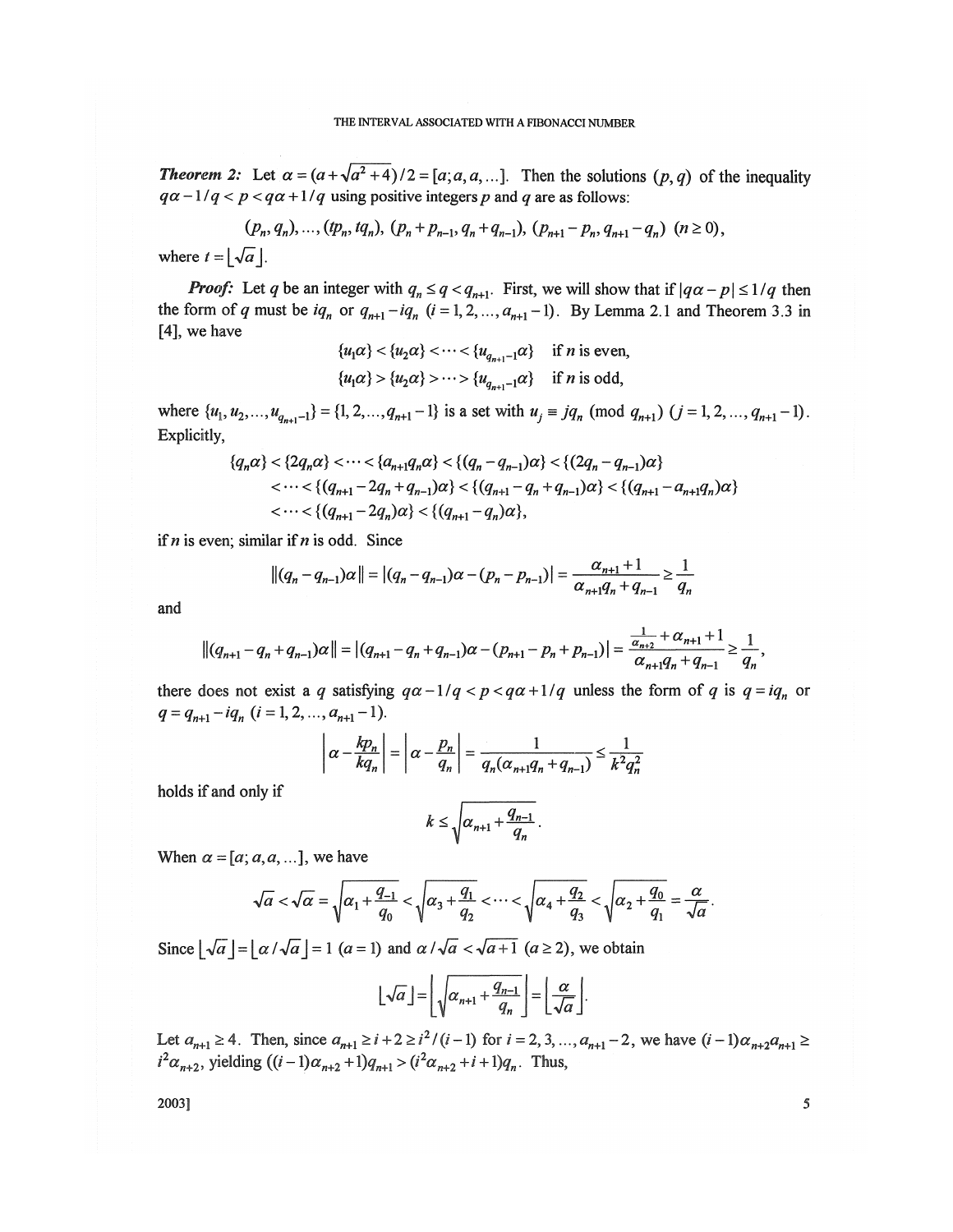*Theorem 2:* Let  $\alpha = (a + \sqrt{a^2 + 4})/2 = [a; a, a, \dots]$ . Then the solutions  $(p, q)$  of the inequality  $qa-1/q < p < qa+1/q$  using positive integers p and q are as follows:

$$
(p_n, q_n), \dots, (tp_n, tq_n), (p_n + p_{n-1}, q_n + q_{n-1}), (p_{n+1} - p_n, q_{n+1} - q_n) \ (n \ge 0),
$$
  
where  $t = \lfloor \sqrt{a} \rfloor$ .

*Proof:* Let *q* be an integer with  $q_n \leq q < q_{n+1}$ . First, we will show that if  $|q\alpha - p| \leq 1/q$  then the form of *q* must be  $iq_n$  or  $q_{n+1} - iq_n$  ( $i = 1, 2, ..., a_{n+1} - 1$ ). By Lemma 2.1 and Theorem 3.3 in [4], we have

$$
\{u_1\alpha\} < \{u_2\alpha\} < \cdots < \{u_{q_{n+1}-1}\alpha\} \quad \text{if } n \text{ is even,}
$$
\n
$$
\{u_1\alpha\} > \{u_2\alpha\} > \cdots > \{u_{q_{n+1}-1}\alpha\} \quad \text{if } n \text{ is odd,}
$$

where  $\{u_1, u_2, ..., u_{q_{n+1}-1}\} = \{1, 2, ..., q_{n+1} - 1\}$  is a set with  $u_j \equiv jq_n \pmod{q_{n+1}}$   $(j = 1, 2, ..., q_{n+1}-1)$ . Explicitly,

$$
\{q_n \alpha\} < \{2q_n \alpha\} < \dots < \{a_{n+1}q_n \alpha\} < \{(q_n - q_{n-1})\alpha\} < \{(2q_n - q_{n-1})\alpha\}
$$
  

$$
< \dots < \{(q_{n+1} - 2q_n + q_{n-1})\alpha\} < \{(q_{n+1} - q_n + q_{n-1})\alpha\} < \{(q_{n+1} - a_{n+1}q_n)\alpha\}
$$
  

$$
< \dots < \{(q_{n+1} - 2q_n)\alpha\} < \{(q_{n+1} - q_n)\alpha\},
$$

if  $n$  is even; similar if  $n$  is odd. Since

$$
||(q_n - q_{n-1})\alpha|| = |(q_n - q_{n-1})\alpha - (p_n - p_{n-1})| = \frac{\alpha_{n+1} + 1}{\alpha_{n+1}q_n + q_{n-1}} \ge \frac{1}{q_n}
$$

and

$$
||(q_{n+1}-q_n+q_{n-1})\alpha|| = |(q_{n+1}-q_n+q_{n-1})\alpha-(p_{n+1}-p_n+p_{n-1})| = \frac{\frac{1}{\alpha_{n+2}}+\alpha_{n+1}+1}{\alpha_{n+1}q_n+q_{n-1}} \ge \frac{1}{q_n},
$$

there does not exist a *q* satisfying  $q\alpha - 1/q < p < q\alpha + 1/q$  unless the form of *q* is  $q = iq_n$  or  $q = q_{n+1} - iq_n$  ( $i = 1, 2, ..., a_{n+1}-1$ ).

$$
\left|\alpha - \frac{kp_n}{kq_n}\right| = \left|\alpha - \frac{p_n}{q_n}\right| = \frac{1}{q_n(\alpha_{n+1}q_n + q_{n-1})} \le \frac{1}{k^2 q_n^2}
$$

holds if and only if

$$
k\leq \sqrt{\alpha_{n+1}+\frac{q_{n-1}}{q_n}}.
$$

When  $\alpha = [a; a, a, \dots]$ , we have

$$
\sqrt{a} < \sqrt{\alpha} = \sqrt{\alpha_1 + \frac{q_{-1}}{q_0}} < \sqrt{\alpha_3 + \frac{q_1}{q_2}} < \cdots < \sqrt{\alpha_4 + \frac{q_2}{q_3}} < \sqrt{\alpha_2 + \frac{q_0}{q_1}} = \frac{\alpha}{\sqrt{\alpha}}.
$$

Since  $|\sqrt{a}| = |\alpha| \sqrt{a}| = 1$   $(a = 1)$  and  $\alpha$  / $\sqrt{a} < \sqrt{a+1}$   $(a \ge 2)$ , we obtain

$$
\lfloor \sqrt{a} \rfloor = \left\lfloor \sqrt{a_{n+1} + \frac{q_{n-1}}{q_n}} \right\rfloor = \left\lfloor \frac{\alpha}{\sqrt{a}} \right\rfloor
$$

Let  $a_{n+1} \ge 4$ . Then, since  $a_{n+1} \ge i+2 \ge i^2/(i-1)$  for  $i = 2, 3, ..., a_{n+1} - 2$ , we have  $(i-1)a_{n+2}a_{n+1} \ge 0$  $i^2 \alpha_{n+2}$ , yielding  $((i - 1)\alpha_{n+2} + 1)q_{n+1} > (i^2 \alpha_{n+2} + i + 1)q_n$ . Thus,

 $2003$ ] 5